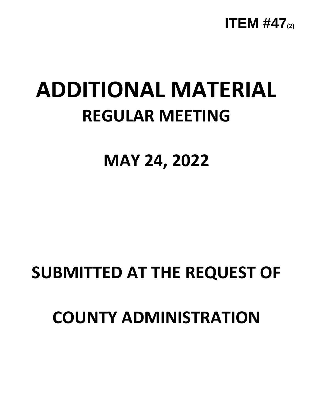

## **ADDITIONAL MATERIAL REGULAR MEETING**

**MAY 24, 2022**

## **SUBMITTED AT THE REQUEST OF**

## **COUNTY ADMINISTRATION**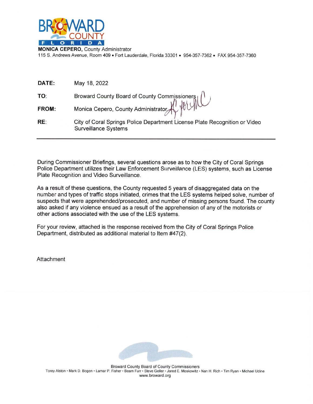

**MONICA CEPERO, County Administrator** 115 S. Andrews Avenue, Room 409 · Fort Lauderdale, Florida 33301 · 954-357-7362 · FAX 954-357-7360

| DATE:        | May 18, 2022                                                                                              |
|--------------|-----------------------------------------------------------------------------------------------------------|
| TO:          | Broward County Board of County Commissioners<br>Monica Cepero, County Administrator                       |
| <b>FROM:</b> |                                                                                                           |
| RE:          | City of Coral Springs Police Department License Plate Recognition or Video<br><b>Surveillance Systems</b> |
|              |                                                                                                           |

During Commissioner Briefings, several questions arose as to how the City of Coral Springs Police Department utilizes their Law Enforcement Surveillance (LES) systems, such as License Plate Recognition and Video Surveillance.

As a result of these questions, the County requested 5 years of disaggregated data on the number and types of traffic stops initiated, crimes that the LES systems helped solve, number of suspects that were apprehended/prosecuted, and number of missing persons found. The county also asked if any violence ensued as a result of the apprehension of any of the motorists or other actions associated with the use of the LES systems.

For your review, attached is the response received from the City of Coral Springs Police Department, distributed as additional material to Item #47(2).

Attachment



Broward County Board of County Commissioners Torey Alston • Mark D. Bogen • Lamar P. Fisher • Beam Furr • Steve Geller • Jared E. Moskowitz • Nan H. Rich • Tim Ryan • Michael Udine www.broward.org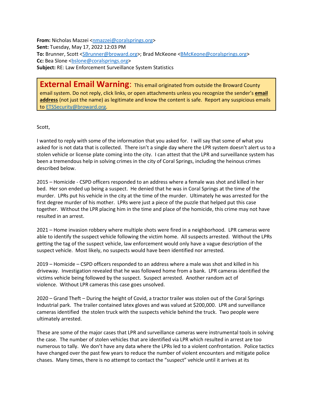**From:** Nicholas Mazzei [<nmazzei@coralsprings.org>](mailto:nmazzei@coralsprings.org) **Sent:** Tuesday, May 17, 2022 12:03 PM **To:** Brunner, Scott [<SBrunner@broward.org>](mailto:SBrunner@broward.org); Brad McKeone [<BMcKeone@coralsprings.org>](mailto:BMcKeone@coralsprings.org) **Cc:** Bea Slone <br/>bslone@coralsprings.org> **Subject:** RE: Law Enforcement Surveillance System Statistics

**External Email Warning**: This email originated from outside the Broward County email system. Do not reply, click links, or open attachments unless you recognize the sender's **email address** (not just the name) as legitimate and know the content is safe. Report any suspicious emails to [ETSSecurity@broward.org.](mailto:ETSSecurity@broward.org)

## Scott,

I wanted to reply with some of the information that you asked for. I will say that some of what you asked for is not data that is collected. There isn't a single day where the LPR system doesn't alert us to a stolen vehicle or license plate coming into the city. I can attest that the LPR and surveillance system has been a tremendous help in solving crimes in the city of Coral Springs, including the heinous crimes described below.

2015 – Homicide - CSPD officers responded to an address where a female was shot and killed in her bed. Her son ended up being a suspect. He denied that he was in Coral Springs at the time of the murder. LPRs put his vehicle in the city at the time of the murder. Ultimately he was arrested for the first degree murder of his mother. LPRs were just a piece of the puzzle that helped put this case together. Without the LPR placing him in the time and place of the homicide, this crime may not have resulted in an arrest.

2021 – Home invasion robbery where multiple shots were fired in a neighborhood. LPR cameras were able to identify the suspect vehicle following the victim home. All suspects arrested. Without the LPRs getting the tag of the suspect vehicle, law enforcement would only have a vague description of the suspect vehicle. Most likely, no suspects would have been identified nor arrested.

2019 – Homicide – CSPD officers responded to an address where a male was shot and killed in his driveway. Investigation revealed that he was followed home from a bank. LPR cameras identified the victims vehicle being followed by the suspect. Suspect arrested. Another random act of violence. Without LPR cameras this case goes unsolved.

2020 – Grand Theft – During the height of Covid, a tractor trailer was stolen out of the Coral Springs Industrial park. The trailer contained latex gloves and was valued at \$200,000. LPR and surveillance cameras identified the stolen truck with the suspects vehicle behind the truck. Two people were ultimately arrested.

These are some of the major cases that LPR and surveillance cameras were instrumental tools in solving the case. The number of stolen vehicles that are identified via LPR which resulted in arrest are too numerous to tally. We don't have any data where the LPRs led to a violent confrontation. Police tactics have changed over the past few years to reduce the number of violent encounters and mitigate police chases. Many times, there is no attempt to contact the "suspect" vehicle until it arrives at its